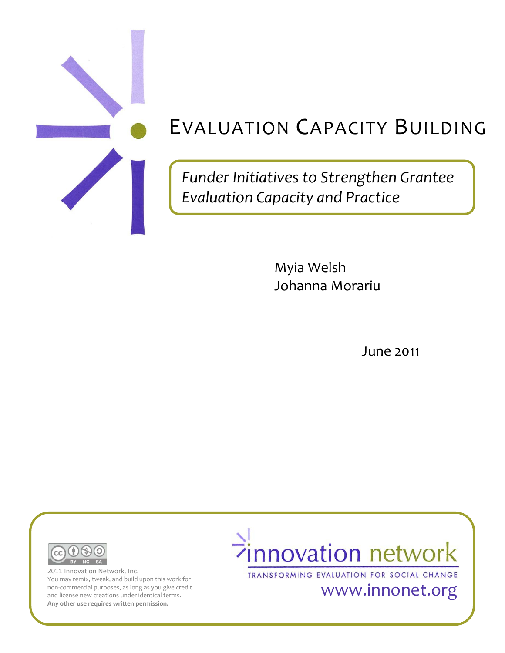

# EVALUATION CAPACITY BUILDING

*Funder Initiatives to Strengthen Grantee Evaluation Capacity and Practice*

> Myia Welsh Johanna Morariu

> > June 2011



2011 Innovation Network, Inc. You may remix, tweak, and build upon this work for non-commercial purposes, as long as you give credit and license new creations under identical terms. **Any other use requires written permission.** 



TRANSFORMING EVALUATION FOR SOCIAL CHANGE

# www.innonet.org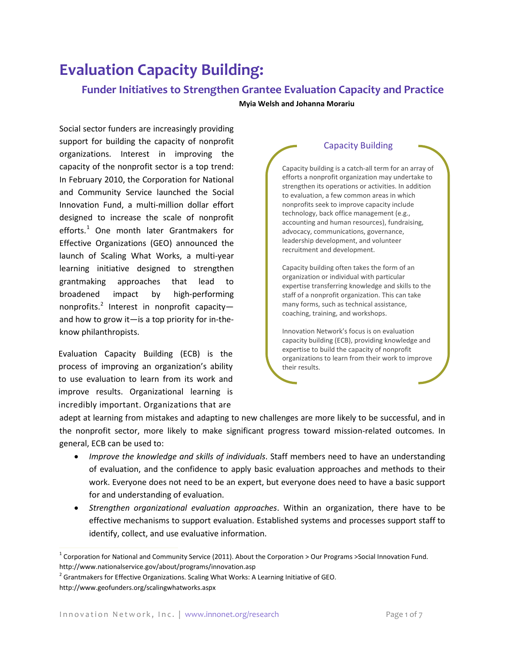# **Evaluation Capacity Building:**

# **Funder Initiatives to Strengthen Grantee Evaluation Capacity and Practice**

**Myia Welsh and Johanna Morariu**

Social sector funders are increasingly providing support for building the capacity of nonprofit organizations. Interest in improving the capacity of the nonprofit sector is a top trend: In February 2010, the Corporation for National and Community Service launched the Social Innovation Fund, a multi-million dollar effort designed to increase the scale of nonprofit efforts.<sup>[1](#page-1-0)</sup> One month later Grantmakers for Effective Organizations (GEO) announced the launch of Scaling What Works, a multi-year learning initiative designed to strengthen grantmaking approaches that lead to broadened impact by high-performing nonprofits.<sup>[2](#page-1-1)</sup> Interest in nonprofit capacityand how to grow it—is a top priority for in-theknow philanthropists.

Evaluation Capacity Building (ECB) is the process of improving an organization's ability to use evaluation to learn from its work and improve results. Organizational learning is incredibly important. Organizations that are

#### Capacity Building

Capacity building is a catch-all term for an array of efforts a nonprofit organization may undertake to strengthen its operations or activities. In addition to evaluation, a few common areas in which nonprofits seek to improve capacity include technology, back office management (e.g., accounting and human resources), fundraising, advocacy, communications, governance, leadership development, and volunteer recruitment and development.

Capacity building often takes the form of an organization or individual with particular expertise transferring knowledge and skills to the staff of a nonprofit organization. This can take many forms, such as technical assistance, coaching, training, and workshops.

Innovation Network's focus is on evaluation capacity building (ECB), providing knowledge and expertise to build the capacity of nonprofit organizations to learn from their work to improve their results.

adept at learning from mistakes and adapting to new challenges are more likely to be successful, and in the nonprofit sector, more likely to make significant progress toward mission-related outcomes. In general, ECB can be used to:

- *Improve the knowledge and skills of individuals*. Staff members need to have an understanding of evaluation, and the confidence to apply basic evaluation approaches and methods to their work. Everyone does not need to be an expert, but everyone does need to have a basic support for and understanding of evaluation.
- *Strengthen organizational evaluation approaches*. Within an organization, there have to be effective mechanisms to support evaluation. Established systems and processes support staff to identify, collect, and use evaluative information.

<span id="page-1-0"></span> $1$  Corporation for National and Community Service (2011). About the Corporation > Our Programs >Social Innovation Fund. http://www.nationalservice.gov/about/programs/innovation.asp

<span id="page-1-1"></span><sup>&</sup>lt;sup>2</sup> Grantmakers for Effective Organizations. Scaling What Works: A Learning Initiative of GEO. http://www.geofunders.org/scalingwhatworks.aspx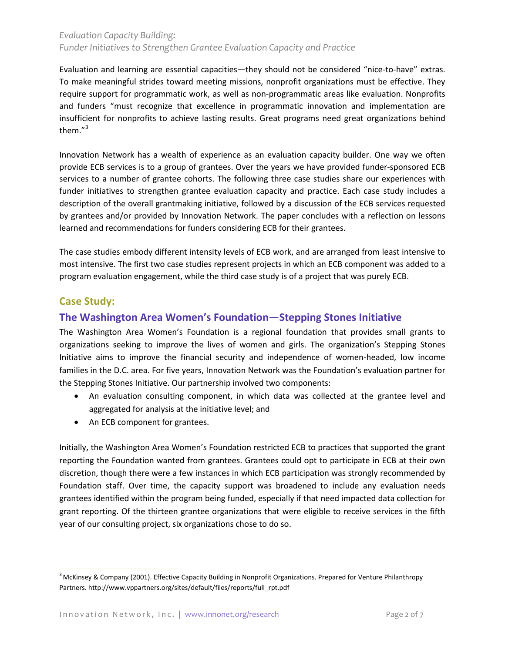Evaluation and learning are essential capacities—they should not be considered "nice-to-have" extras. To make meaningful strides toward meeting missions, nonprofit organizations must be effective. They require support for programmatic work, as well as non-programmatic areas like evaluation. Nonprofits and funders "must recognize that excellence in programmatic innovation and implementation are insufficient for nonprofits to achieve lasting results. Great programs need great organizations behind them."[3](#page-2-0)

Innovation Network has a wealth of experience as an evaluation capacity builder. One way we often provide ECB services is to a group of grantees. Over the years we have provided funder-sponsored ECB services to a number of grantee cohorts. The following three case studies share our experiences with funder initiatives to strengthen grantee evaluation capacity and practice. Each case study includes a description of the overall grantmaking initiative, followed by a discussion of the ECB services requested by grantees and/or provided by Innovation Network. The paper concludes with a reflection on lessons learned and recommendations for funders considering ECB for their grantees.

The case studies embody different intensity levels of ECB work, and are arranged from least intensive to most intensive. The first two case studies represent projects in which an ECB component was added to a program evaluation engagement, while the third case study is of a project that was purely ECB.

# **Case Study:**

# **The Washington Area Women's Foundation—Stepping Stones Initiative**

The Washington Area Women's Foundation is a regional foundation that provides small grants to organizations seeking to improve the lives of women and girls. The organization's Stepping Stones Initiative aims to improve the financial security and independence of women-headed, low income families in the D.C. area. For five years, Innovation Network was the Foundation's evaluation partner for the Stepping Stones Initiative. Our partnership involved two components:

- An evaluation consulting component, in which data was collected at the grantee level and aggregated for analysis at the initiative level; and
- An ECB component for grantees.

Initially, the Washington Area Women's Foundation restricted ECB to practices that supported the grant reporting the Foundation wanted from grantees. Grantees could opt to participate in ECB at their own discretion, though there were a few instances in which ECB participation was strongly recommended by Foundation staff. Over time, the capacity support was broadened to include any evaluation needs grantees identified within the program being funded, especially if that need impacted data collection for grant reporting. Of the thirteen grantee organizations that were eligible to receive services in the fifth year of our consulting project, six organizations chose to do so.

<span id="page-2-0"></span><sup>-&</sup>lt;br>3 <sup>3</sup> McKinsey & Company (2001). Effective Capacity Building in Nonprofit Organizations. Prepared for Venture Philanthropy Partners. http://www.vppartners.org/sites/default/files/reports/full\_rpt.pdf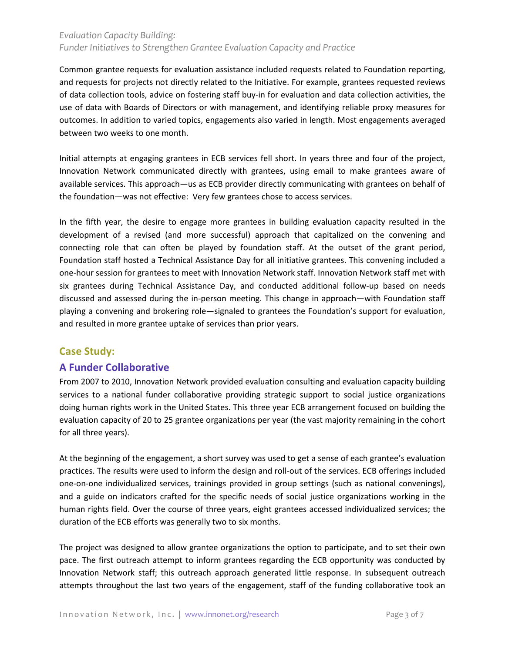Common grantee requests for evaluation assistance included requests related to Foundation reporting, and requests for projects not directly related to the Initiative. For example, grantees requested reviews of data collection tools, advice on fostering staff buy-in for evaluation and data collection activities, the use of data with Boards of Directors or with management, and identifying reliable proxy measures for outcomes. In addition to varied topics, engagements also varied in length. Most engagements averaged between two weeks to one month.

Initial attempts at engaging grantees in ECB services fell short. In years three and four of the project, Innovation Network communicated directly with grantees, using email to make grantees aware of available services. This approach—us as ECB provider directly communicating with grantees on behalf of the foundation—was not effective: Very few grantees chose to access services.

In the fifth year, the desire to engage more grantees in building evaluation capacity resulted in the development of a revised (and more successful) approach that capitalized on the convening and connecting role that can often be played by foundation staff. At the outset of the grant period, Foundation staff hosted a Technical Assistance Day for all initiative grantees. This convening included a one-hour session for grantees to meet with Innovation Network staff. Innovation Network staff met with six grantees during Technical Assistance Day, and conducted additional follow-up based on needs discussed and assessed during the in-person meeting. This change in approach—with Foundation staff playing a convening and brokering role—signaled to grantees the Foundation's support for evaluation, and resulted in more grantee uptake of services than prior years.

#### **Case Study:**

#### **A Funder Collaborative**

From 2007 to 2010, Innovation Network provided evaluation consulting and evaluation capacity building services to a national funder collaborative providing strategic support to social justice organizations doing human rights work in the United States. This three year ECB arrangement focused on building the evaluation capacity of 20 to 25 grantee organizations per year (the vast majority remaining in the cohort for all three years).

At the beginning of the engagement, a short survey was used to get a sense of each grantee's evaluation practices. The results were used to inform the design and roll-out of the services. ECB offerings included one-on-one individualized services, trainings provided in group settings (such as national convenings), and a guide on indicators crafted for the specific needs of social justice organizations working in the human rights field. Over the course of three years, eight grantees accessed individualized services; the duration of the ECB efforts was generally two to six months.

The project was designed to allow grantee organizations the option to participate, and to set their own pace. The first outreach attempt to inform grantees regarding the ECB opportunity was conducted by Innovation Network staff; this outreach approach generated little response. In subsequent outreach attempts throughout the last two years of the engagement, staff of the funding collaborative took an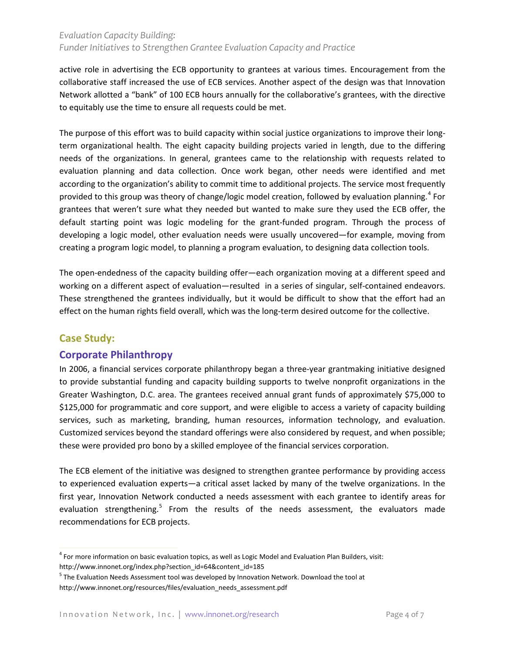active role in advertising the ECB opportunity to grantees at various times. Encouragement from the collaborative staff increased the use of ECB services. Another aspect of the design was that Innovation Network allotted a "bank" of 100 ECB hours annually for the collaborative's grantees, with the directive to equitably use the time to ensure all requests could be met.

The purpose of this effort was to build capacity within social justice organizations to improve their longterm organizational health. The eight capacity building projects varied in length, due to the differing needs of the organizations. In general, grantees came to the relationship with requests related to evaluation planning and data collection. Once work began, other needs were identified and met according to the organization's ability to commit time to additional projects. The service most frequently provided to this group was theory of change/logic model creation, followed by evaluation planning.<sup>[4](#page-4-0)</sup> For grantees that weren't sure what they needed but wanted to make sure they used the ECB offer, the default starting point was logic modeling for the grant-funded program. Through the process of developing a logic model, other evaluation needs were usually uncovered—for example, moving from creating a program logic model, to planning a program evaluation, to designing data collection tools.

The open-endedness of the capacity building offer—each organization moving at a different speed and working on a different aspect of evaluation—resulted in a series of singular, self-contained endeavors. These strengthened the grantees individually, but it would be difficult to show that the effort had an effect on the human rights field overall, which was the long-term desired outcome for the collective.

### **Case Study:**

#### **Corporate Philanthropy**

In 2006, a financial services corporate philanthropy began a three-year grantmaking initiative designed to provide substantial funding and capacity building supports to twelve nonprofit organizations in the Greater Washington, D.C. area. The grantees received annual grant funds of approximately \$75,000 to \$125,000 for programmatic and core support, and were eligible to access a variety of capacity building services, such as marketing, branding, human resources, information technology, and evaluation. Customized services beyond the standard offerings were also considered by request, and when possible; these were provided pro bono by a skilled employee of the financial services corporation.

The ECB element of the initiative was designed to strengthen grantee performance by providing access to experienced evaluation experts—a critical asset lacked by many of the twelve organizations. In the first year, Innovation Network conducted a needs assessment with each grantee to identify areas for evaluation strengthening.<sup>[5](#page-4-1)</sup> From the results of the needs assessment, the evaluators made recommendations for ECB projects.

<span id="page-4-0"></span><sup>&</sup>lt;sup>4</sup> For more information on basic evaluation topics, as well as Logic Model and Evaluation Plan Builders, visit: http://www.innonet.org/index.php?section\_id=64&content\_id=185

<span id="page-4-1"></span><sup>&</sup>lt;sup>5</sup> The Evaluation Needs Assessment tool was developed by Innovation Network. Download the tool at http://www.innonet.org/resources/files/evaluation\_needs\_assessment.pdf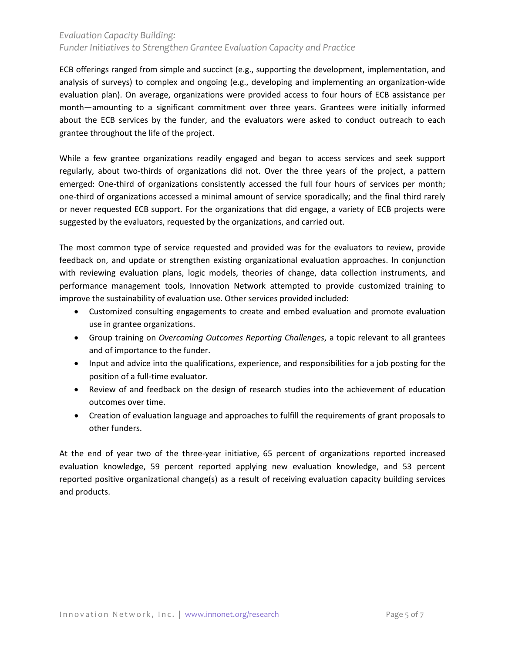ECB offerings ranged from simple and succinct (e.g., supporting the development, implementation, and analysis of surveys) to complex and ongoing (e.g., developing and implementing an organization-wide evaluation plan). On average, organizations were provided access to four hours of ECB assistance per month—amounting to a significant commitment over three years. Grantees were initially informed about the ECB services by the funder, and the evaluators were asked to conduct outreach to each grantee throughout the life of the project.

While a few grantee organizations readily engaged and began to access services and seek support regularly, about two-thirds of organizations did not. Over the three years of the project, a pattern emerged: One-third of organizations consistently accessed the full four hours of services per month; one-third of organizations accessed a minimal amount of service sporadically; and the final third rarely or never requested ECB support. For the organizations that did engage, a variety of ECB projects were suggested by the evaluators, requested by the organizations, and carried out.

The most common type of service requested and provided was for the evaluators to review, provide feedback on, and update or strengthen existing organizational evaluation approaches. In conjunction with reviewing evaluation plans, logic models, theories of change, data collection instruments, and performance management tools, Innovation Network attempted to provide customized training to improve the sustainability of evaluation use. Other services provided included:

- Customized consulting engagements to create and embed evaluation and promote evaluation use in grantee organizations.
- Group training on *Overcoming Outcomes Reporting Challenges*, a topic relevant to all grantees and of importance to the funder.
- Input and advice into the qualifications, experience, and responsibilities for a job posting for the position of a full-time evaluator.
- Review of and feedback on the design of research studies into the achievement of education outcomes over time.
- Creation of evaluation language and approaches to fulfill the requirements of grant proposals to other funders.

At the end of year two of the three-year initiative, 65 percent of organizations reported increased evaluation knowledge, 59 percent reported applying new evaluation knowledge, and 53 percent reported positive organizational change(s) as a result of receiving evaluation capacity building services and products.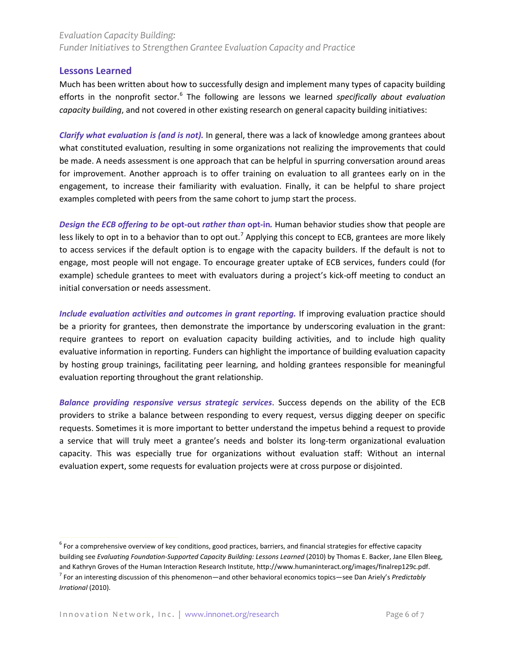#### **Lessons Learned**

Much has been written about how to successfully design and implement many types of capacity building efforts in the nonprofit sector.<sup>[6](#page-6-0)</sup> The following are lessons we learned *specifically about evaluation capacity building*, and not covered in other existing research on general capacity building initiatives:

*Clarify what evaluation is (and is not).* In general, there was a lack of knowledge among grantees about what constituted evaluation, resulting in some organizations not realizing the improvements that could be made. A needs assessment is one approach that can be helpful in spurring conversation around areas for improvement. Another approach is to offer training on evaluation to all grantees early on in the engagement, to increase their familiarity with evaluation. Finally, it can be helpful to share project examples completed with peers from the same cohort to jump start the process.

*Design the ECB offering to be* **opt-out** *rather than* **opt-in***.* Human behavior studies show that people are less likely to opt in to a behavior than to opt out.<sup>[7](#page-6-1)</sup> Applying this concept to ECB, grantees are more likely to access services if the default option is to engage with the capacity builders. If the default is not to engage, most people will not engage. To encourage greater uptake of ECB services, funders could (for example) schedule grantees to meet with evaluators during a project's kick-off meeting to conduct an initial conversation or needs assessment.

*Include evaluation activities and outcomes in grant reporting.* If improving evaluation practice should be a priority for grantees, then demonstrate the importance by underscoring evaluation in the grant: require grantees to report on evaluation capacity building activities, and to include high quality evaluative information in reporting. Funders can highlight the importance of building evaluation capacity by hosting group trainings, facilitating peer learning, and holding grantees responsible for meaningful evaluation reporting throughout the grant relationship.

*Balance providing responsive versus strategic services*. Success depends on the ability of the ECB providers to strike a balance between responding to every request, versus digging deeper on specific requests. Sometimes it is more important to better understand the impetus behind a request to provide a service that will truly meet a grantee's needs and bolster its long-term organizational evaluation capacity. This was especially true for organizations without evaluation staff: Without an internal evaluation expert, some requests for evaluation projects were at cross purpose or disjointed.

<span id="page-6-1"></span><span id="page-6-0"></span> $6$  For a comprehensive overview of key conditions, good practices, barriers, and financial strategies for effective capacity building see *Evaluating Foundation-Supported Capacity Building: Lessons Learned* (2010) by Thomas E. Backer, Jane Ellen Bleeg, and Kathryn Groves of the Human Interaction Research Institute, http://www.humaninteract.org/images/finalrep129c.pdf.<br><sup>7</sup> For an interesting discussion of this phenomenon—and other behavioral economics topics—see Dan Arie *Irrational* (2010).